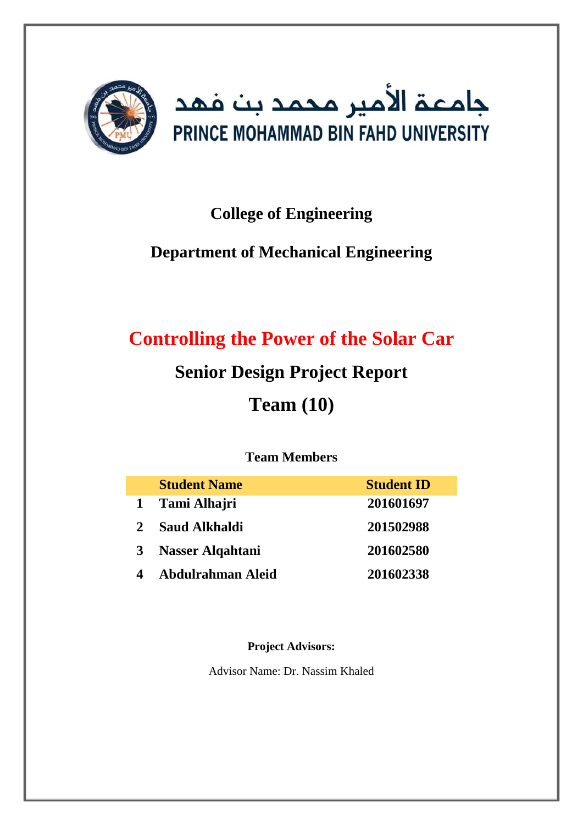

# **College of Engineering**

# **Department of Mechanical Engineering**

# **Controlling the Power of the Solar Car**

# **Senior Design Project Report**

# **Team (10)**

## **Team Members**

|                | <b>Student Name</b>     | <b>Student ID</b> |
|----------------|-------------------------|-------------------|
| $\mathbf{1}$   | Tami Alhajri            | 201601697         |
| $\overline{2}$ | <b>Saud Alkhaldi</b>    | 201502988         |
| $\mathbf{3}$   | <b>Nasser Alqahtani</b> | 201602580         |
|                | Abdulrahman Aleid       | 201602338         |

## **Project Advisors:**

Advisor Name: Dr. Nassim Khaled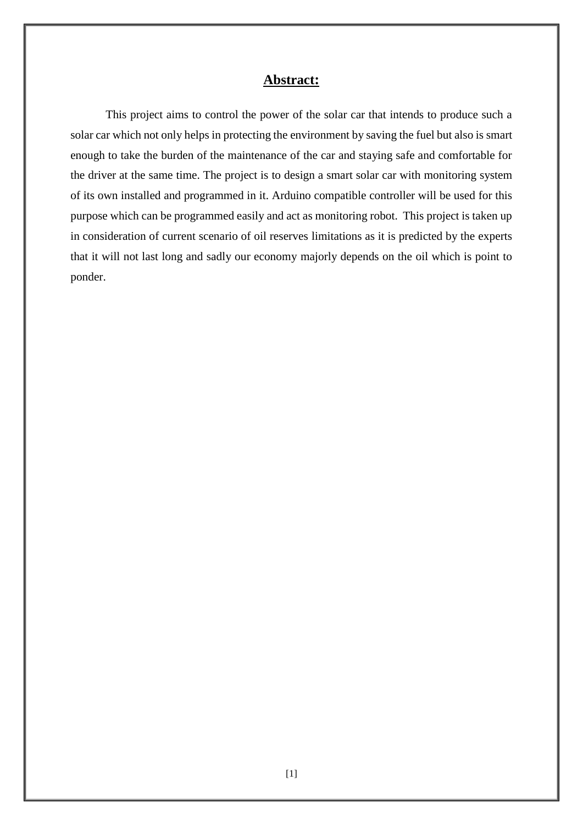#### **Abstract:**

This project aims to control the power of the solar car that intends to produce such a solar car which not only helps in protecting the environment by saving the fuel but also is smart enough to take the burden of the maintenance of the car and staying safe and comfortable for the driver at the same time. The project is to design a smart solar car with monitoring system of its own installed and programmed in it. Arduino compatible controller will be used for this purpose which can be programmed easily and act as monitoring robot. This project is taken up in consideration of current scenario of oil reserves limitations as it is predicted by the experts that it will not last long and sadly our economy majorly depends on the oil which is point to ponder.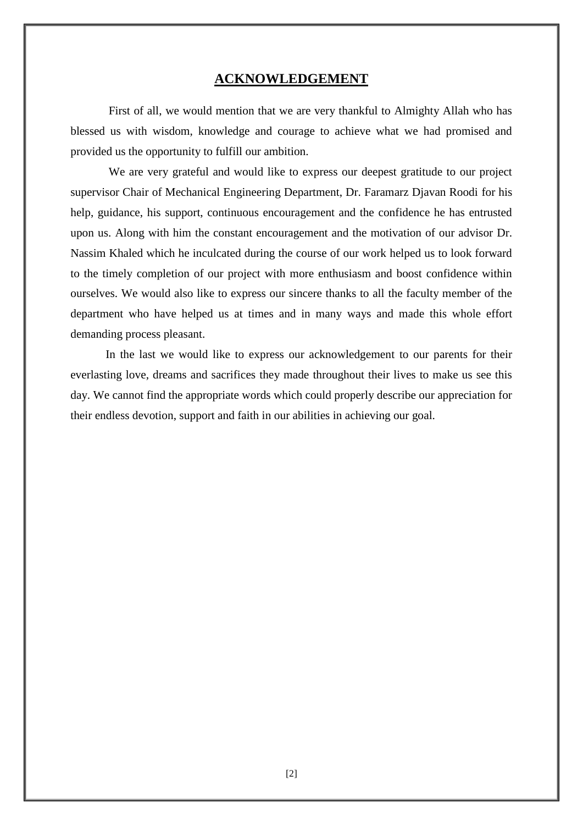#### **ACKNOWLEDGEMENT**

 First of all, we would mention that we are very thankful to Almighty Allah who has blessed us with wisdom, knowledge and courage to achieve what we had promised and provided us the opportunity to fulfill our ambition.

 We are very grateful and would like to express our deepest gratitude to our project supervisor Chair of Mechanical Engineering Department, Dr. Faramarz Djavan Roodi for his help, guidance, his support, continuous encouragement and the confidence he has entrusted upon us. Along with him the constant encouragement and the motivation of our advisor Dr. Nassim Khaled which he inculcated during the course of our work helped us to look forward to the timely completion of our project with more enthusiasm and boost confidence within ourselves. We would also like to express our sincere thanks to all the faculty member of the department who have helped us at times and in many ways and made this whole effort demanding process pleasant.

 In the last we would like to express our acknowledgement to our parents for their everlasting love, dreams and sacrifices they made throughout their lives to make us see this day. We cannot find the appropriate words which could properly describe our appreciation for their endless devotion, support and faith in our abilities in achieving our goal.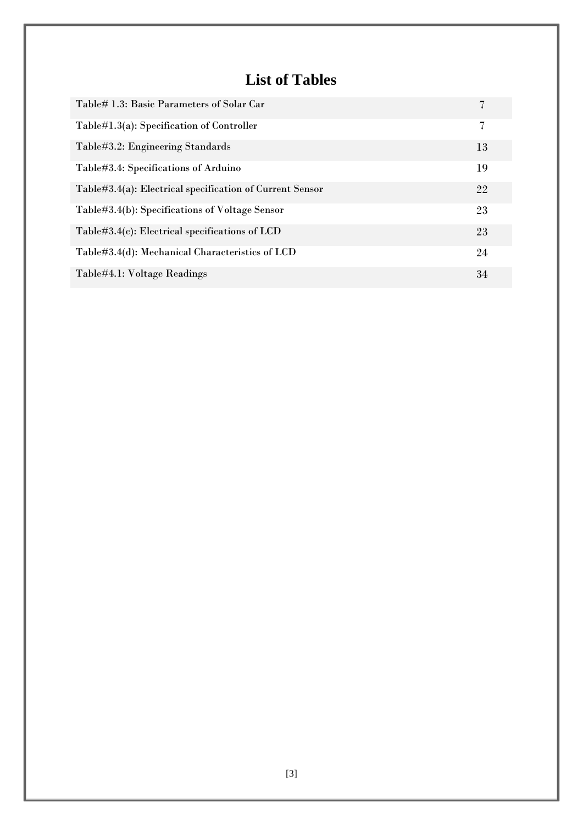# **List of Tables**

| Table# 1.3: Basic Parameters of Solar Car                |    |
|----------------------------------------------------------|----|
| Table#1.3(a): Specification of Controller                | 7  |
| Table#3.2: Engineering Standards                         | 13 |
| Table#3.4: Specifications of Arduino                     | 19 |
| Table#3.4(a): Electrical specification of Current Sensor | 22 |
| Table#3.4(b): Specifications of Voltage Sensor           | 23 |
| Table#3.4(c): Electrical specifications of $LCD$         | 23 |
| Table#3.4(d): Mechanical Characteristics of LCD          | 24 |
| Table#4.1: Voltage Readings                              | 34 |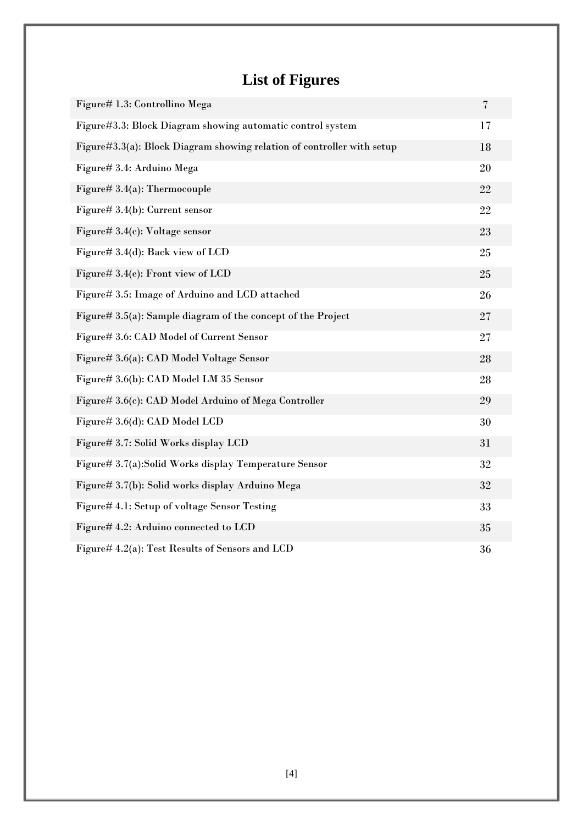# **List of Figures**

| Figure# 1.3: Controllino Mega                                          | $\overline{\mathcal{U}}$ |
|------------------------------------------------------------------------|--------------------------|
| Figure#3.3: Block Diagram showing automatic control system             | 17                       |
| Figure#3.3(a): Block Diagram showing relation of controller with setup | 18                       |
| Figure# 3.4: Arduino Mega                                              | 20                       |
| Figure# $3.4(a)$ : Thermocouple                                        | 22                       |
| Figure# $3.4(b)$ : Current sensor                                      | 22                       |
| Figure# $3.4(c)$ : Voltage sensor                                      | 23                       |
| Figure# 3.4(d): Back view of LCD                                       | 25                       |
| Figure# 3.4(e): Front view of LCD                                      | 25                       |
| Figure# 3.5: Image of Arduino and LCD attached                         | 26                       |
| Figure# 3.5(a): Sample diagram of the concept of the Project           | 27                       |
| Figure# 3.6: CAD Model of Current Sensor                               | 27                       |
| Figure# 3.6(a): CAD Model Voltage Sensor                               | 28                       |
| Figure# 3.6(b): CAD Model LM 35 Sensor                                 | 28                       |
| Figure# 3.6(c): CAD Model Arduino of Mega Controller                   | 29                       |
| Figure# 3.6(d): CAD Model LCD                                          | 30                       |
| Figure# 3.7: Solid Works display LCD                                   | 31                       |
| Figure# 3.7(a):Solid Works display Temperature Sensor                  | 32                       |
| Figure# 3.7(b): Solid works display Arduino Mega                       | 32                       |
| Figure# 4.1: Setup of voltage Sensor Testing                           | 33                       |
| Figure# 4.2: Arduino connected to LCD                                  | 35                       |
| Figure# 4.2(a): Test Results of Sensors and LCD                        | 36                       |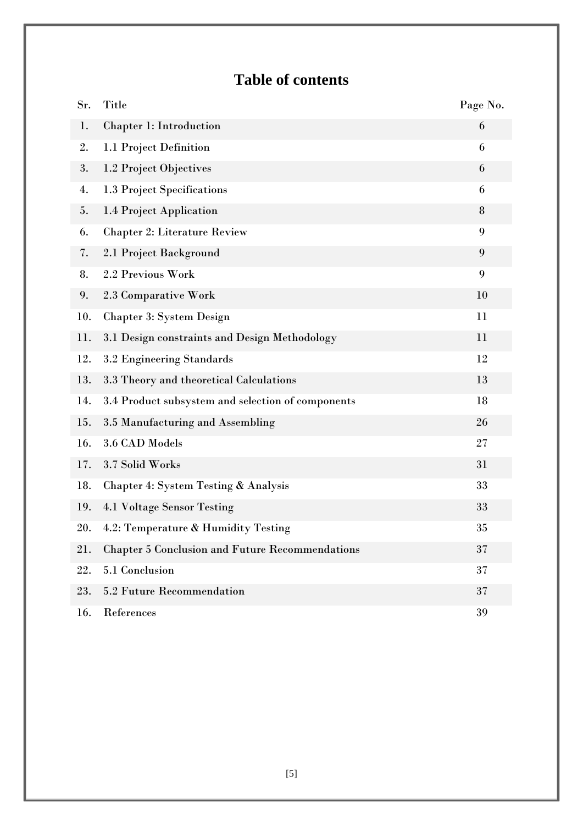# **Table of contents**

| Sr. | <b>Title</b>                                           | Page No. |
|-----|--------------------------------------------------------|----------|
| 1.  | Chapter 1: Introduction                                | 6        |
| 2.  | 1.1 Project Definition                                 | 6        |
| 3.  | 1.2 Project Objectives                                 | 6        |
| 4.  | 1.3 Project Specifications                             | 6        |
| 5.  | 1.4 Project Application                                | 8        |
| 6.  | <b>Chapter 2: Literature Review</b>                    | 9        |
| 7.  | 2.1 Project Background                                 | 9        |
| 8.  | 2.2 Previous Work                                      | 9        |
| 9.  | 2.3 Comparative Work                                   | 10       |
| 10. | <b>Chapter 3: System Design</b>                        | 11       |
| 11. | 3.1 Design constraints and Design Methodology          | 11       |
| 12. | 3.2 Engineering Standards                              | 12       |
| 13. | 3.3 Theory and theoretical Calculations                | 13       |
| 14. | 3.4 Product subsystem and selection of components      | 18       |
| 15. | 3.5 Manufacturing and Assembling                       | 26       |
| 16. | 3.6 CAD Models                                         | 27       |
| 17. | 3.7 Solid Works                                        | 31       |
| 18. | Chapter 4: System Testing & Analysis                   | 33       |
| 19. | 4.1 Voltage Sensor Testing                             | 33       |
| 20. | 4.2: Temperature & Humidity Testing                    | 35       |
| 21. | <b>Chapter 5 Conclusion and Future Recommendations</b> | 37       |
| 22. | 5.1 Conclusion                                         | 37       |
| 23. | 5.2 Future Recommendation                              | 37       |
| 16. | References                                             | 39       |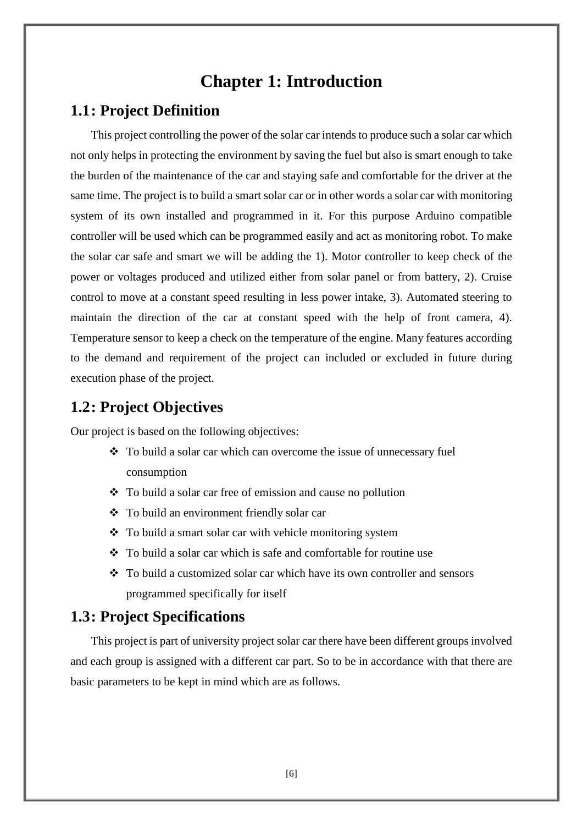# **Chapter 1: Introduction**

## **1.1: Project Definition**

This project controlling the power of the solar car intends to produce such a solar car which not only helps in protecting the environment by saving the fuel but also is smart enough to take the burden of the maintenance of the car and staying safe and comfortable for the driver at the same time. The project is to build a smart solar car or in other words a solar car with monitoring system of its own installed and programmed in it. For this purpose Arduino compatible controller will be used which can be programmed easily and act as monitoring robot. To make the solar car safe and smart we will be adding the 1). Motor controller to keep check of the power or voltages produced and utilized either from solar panel or from battery, 2). Cruise control to move at a constant speed resulting in less power intake, 3). Automated steering to maintain the direction of the car at constant speed with the help of front camera, 4). Temperature sensor to keep a check on the temperature of the engine. Many features according to the demand and requirement of the project can included or excluded in future during execution phase of the project.

## **1.2: Project Objectives**

Our project is based on the following objectives:

- \* To build a solar car which can overcome the issue of unnecessary fuel consumption
- To build a solar car free of emission and cause no pollution
- To build an environment friendly solar car
- To build a smart solar car with vehicle monitoring system
- $\bullet$  To build a solar car which is safe and comfortable for routine use
- To build a customized solar car which have its own controller and sensors programmed specifically for itself

## **1.3: Project Specifications**

This project is part of university project solar car there have been different groups involved and each group is assigned with a different car part. So to be in accordance with that there are basic parameters to be kept in mind which are as follows.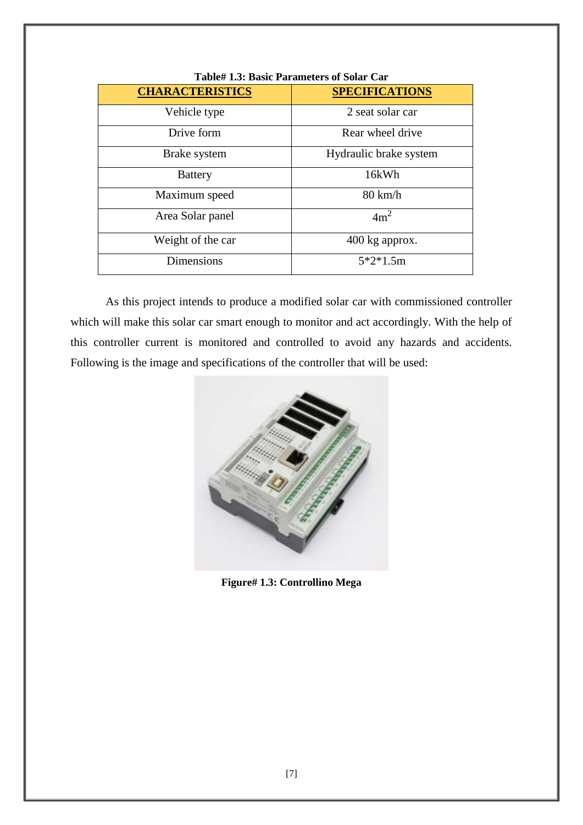| <b>Table# 1.3: Basic Parameters of Solar Car</b> |                        |  |  |
|--------------------------------------------------|------------------------|--|--|
| <b>CHARACTERISTICS</b>                           | <b>SPECIFICATIONS</b>  |  |  |
| Vehicle type                                     | 2 seat solar car       |  |  |
| Drive form                                       | Rear wheel drive       |  |  |
| Brake system                                     | Hydraulic brake system |  |  |
| <b>Battery</b>                                   | 16kWh                  |  |  |
| Maximum speed                                    | $80 \text{ km/h}$      |  |  |
| Area Solar panel                                 | 4m <sup>2</sup>        |  |  |
| Weight of the car                                | 400 kg approx.         |  |  |
| <b>Dimensions</b>                                | $5*2*1.5m$             |  |  |

As this project intends to produce a modified solar car with commissioned controller which will make this solar car smart enough to monitor and act accordingly. With the help of this controller current is monitored and controlled to avoid any hazards and accidents. Following is the image and specifications of the controller that will be used:



**Figure# 1.3: Controllino Mega**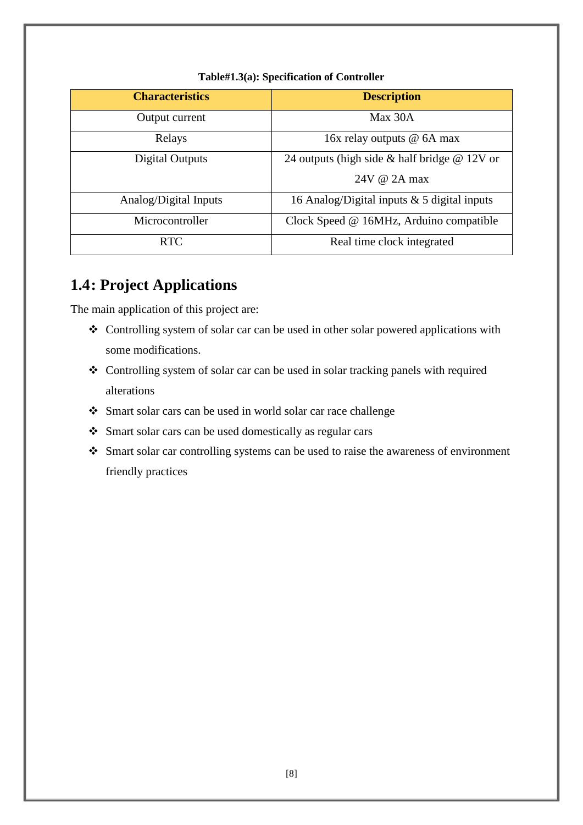| <b>Characteristics</b> | <b>Description</b>                                 |  |
|------------------------|----------------------------------------------------|--|
| Output current         | Max 30A                                            |  |
| Relays                 | 16x relay outputs @ 6A max                         |  |
| Digital Outputs        | 24 outputs (high side $\&$ half bridge $\&$ 12V or |  |
|                        | $24V \omega$ 2A max                                |  |
| Analog/Digital Inputs  | 16 Analog/Digital inputs $& 5$ digital inputs      |  |
| Microcontroller        | Clock Speed @ 16MHz, Arduino compatible            |  |
| <b>RTC</b>             | Real time clock integrated                         |  |

#### **Table#1.3(a): Specification of Controller**

# **1.4: Project Applications**

The main application of this project are:

- Controlling system of solar car can be used in other solar powered applications with some modifications.
- Controlling system of solar car can be used in solar tracking panels with required alterations
- Smart solar cars can be used in world solar car race challenge
- Smart solar cars can be used domestically as regular cars
- Smart solar car controlling systems can be used to raise the awareness of environment friendly practices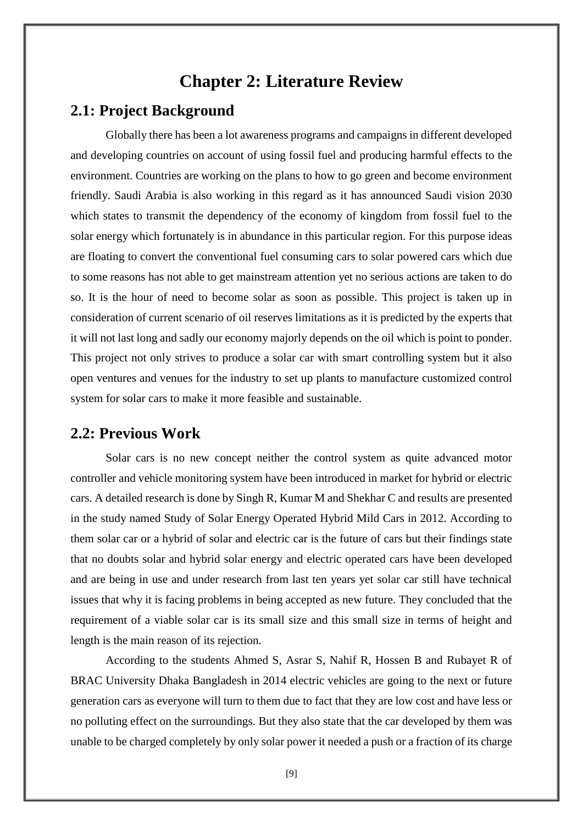## **Chapter 2: Literature Review**

## **2.1: Project Background**

Globally there has been a lot awareness programs and campaigns in different developed and developing countries on account of using fossil fuel and producing harmful effects to the environment. Countries are working on the plans to how to go green and become environment friendly. Saudi Arabia is also working in this regard as it has announced Saudi vision 2030 which states to transmit the dependency of the economy of kingdom from fossil fuel to the solar energy which fortunately is in abundance in this particular region. For this purpose ideas are floating to convert the conventional fuel consuming cars to solar powered cars which due to some reasons has not able to get mainstream attention yet no serious actions are taken to do so. It is the hour of need to become solar as soon as possible. This project is taken up in consideration of current scenario of oil reserves limitations as it is predicted by the experts that it will not last long and sadly our economy majorly depends on the oil which is point to ponder. This project not only strives to produce a solar car with smart controlling system but it also open ventures and venues for the industry to set up plants to manufacture customized control system for solar cars to make it more feasible and sustainable.

#### **2.2: Previous Work**

Solar cars is no new concept neither the control system as quite advanced motor controller and vehicle monitoring system have been introduced in market for hybrid or electric cars. A detailed research is done by Singh R, Kumar M and Shekhar C and results are presented in the study named Study of Solar Energy Operated Hybrid Mild Cars in 2012. According to them solar car or a hybrid of solar and electric car is the future of cars but their findings state that no doubts solar and hybrid solar energy and electric operated cars have been developed and are being in use and under research from last ten years yet solar car still have technical issues that why it is facing problems in being accepted as new future. They concluded that the requirement of a viable solar car is its small size and this small size in terms of height and length is the main reason of its rejection.

According to the students Ahmed S, Asrar S, Nahif R, Hossen B and Rubayet R of BRAC University Dhaka Bangladesh in 2014 electric vehicles are going to the next or future generation cars as everyone will turn to them due to fact that they are low cost and have less or no polluting effect on the surroundings. But they also state that the car developed by them was unable to be charged completely by only solar power it needed a push or a fraction of its charge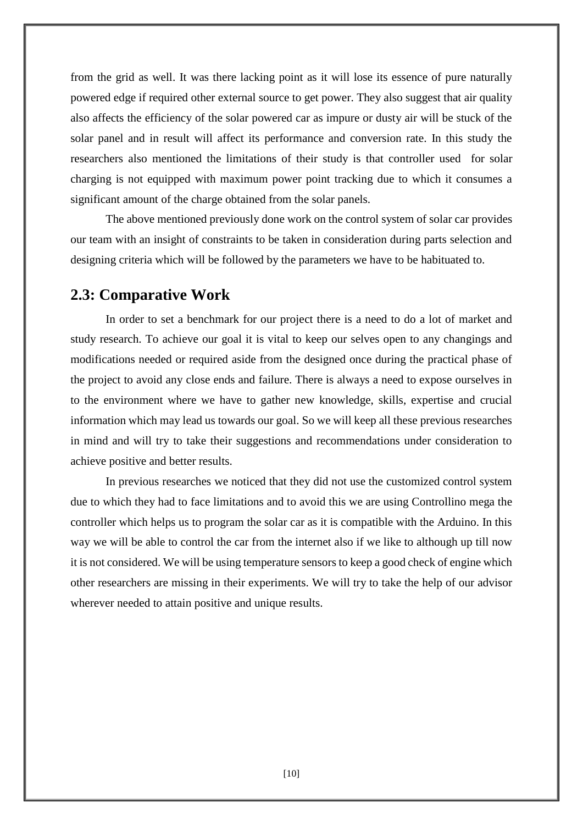from the grid as well. It was there lacking point as it will lose its essence of pure naturally powered edge if required other external source to get power. They also suggest that air quality also affects the efficiency of the solar powered car as impure or dusty air will be stuck of the solar panel and in result will affect its performance and conversion rate. In this study the researchers also mentioned the limitations of their study is that controller used for solar charging is not equipped with maximum power point tracking due to which it consumes a significant amount of the charge obtained from the solar panels.

The above mentioned previously done work on the control system of solar car provides our team with an insight of constraints to be taken in consideration during parts selection and designing criteria which will be followed by the parameters we have to be habituated to.

#### **2.3: Comparative Work**

In order to set a benchmark for our project there is a need to do a lot of market and study research. To achieve our goal it is vital to keep our selves open to any changings and modifications needed or required aside from the designed once during the practical phase of the project to avoid any close ends and failure. There is always a need to expose ourselves in to the environment where we have to gather new knowledge, skills, expertise and crucial information which may lead us towards our goal. So we will keep all these previous researches in mind and will try to take their suggestions and recommendations under consideration to achieve positive and better results.

In previous researches we noticed that they did not use the customized control system due to which they had to face limitations and to avoid this we are using Controllino mega the controller which helps us to program the solar car as it is compatible with the Arduino. In this way we will be able to control the car from the internet also if we like to although up till now it is not considered. We will be using temperature sensors to keep a good check of engine which other researchers are missing in their experiments. We will try to take the help of our advisor wherever needed to attain positive and unique results.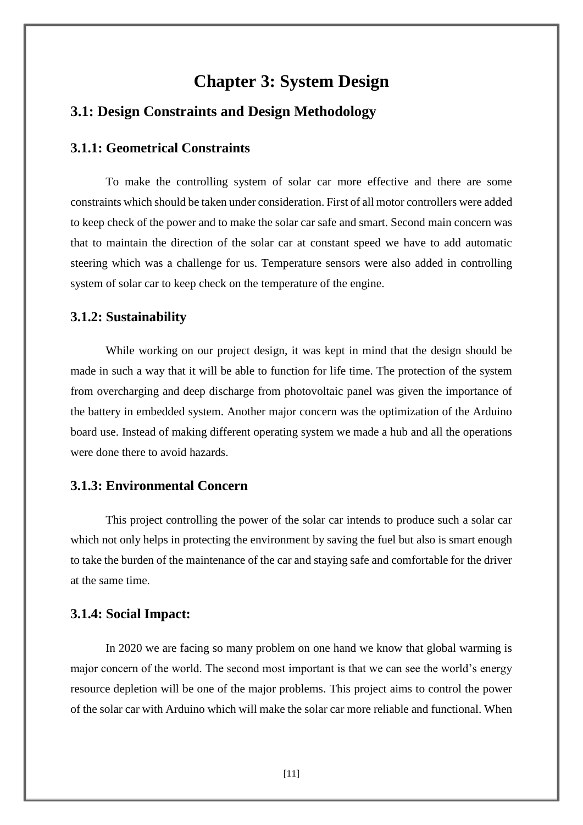# **Chapter 3: System Design**

#### **3.1: Design Constraints and Design Methodology**

#### **3.1.1: Geometrical Constraints**

To make the controlling system of solar car more effective and there are some constraints which should be taken under consideration. First of all motor controllers were added to keep check of the power and to make the solar car safe and smart. Second main concern was that to maintain the direction of the solar car at constant speed we have to add automatic steering which was a challenge for us. Temperature sensors were also added in controlling system of solar car to keep check on the temperature of the engine.

#### **3.1.2: Sustainability**

While working on our project design, it was kept in mind that the design should be made in such a way that it will be able to function for life time. The protection of the system from overcharging and deep discharge from photovoltaic panel was given the importance of the battery in embedded system. Another major concern was the optimization of the Arduino board use. Instead of making different operating system we made a hub and all the operations were done there to avoid hazards.

#### **3.1.3: Environmental Concern**

This project controlling the power of the solar car intends to produce such a solar car which not only helps in protecting the environment by saving the fuel but also is smart enough to take the burden of the maintenance of the car and staying safe and comfortable for the driver at the same time.

#### **3.1.4: Social Impact:**

In 2020 we are facing so many problem on one hand we know that global warming is major concern of the world. The second most important is that we can see the world's energy resource depletion will be one of the major problems. This project aims to control the power of the solar car with Arduino which will make the solar car more reliable and functional. When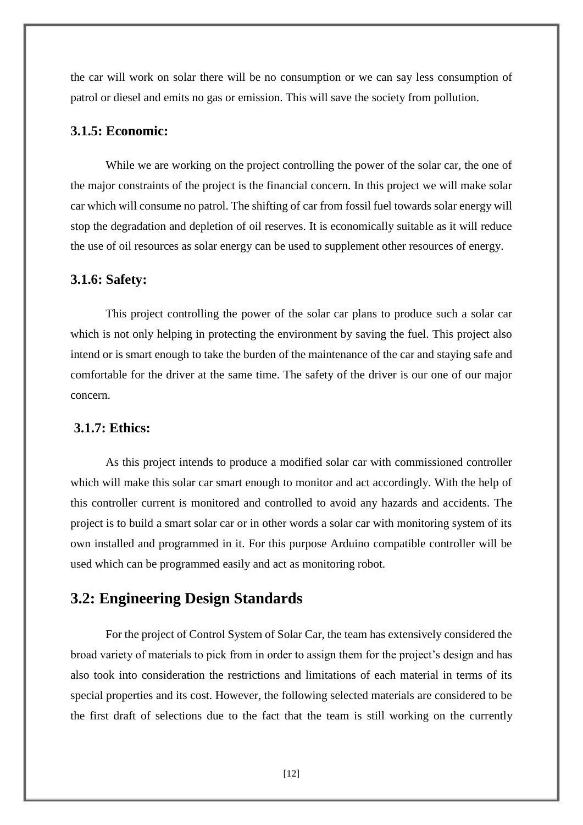the car will work on solar there will be no consumption or we can say less consumption of patrol or diesel and emits no gas or emission. This will save the society from pollution.

#### **3.1.5: Economic:**

While we are working on the project controlling the power of the solar car, the one of the major constraints of the project is the financial concern. In this project we will make solar car which will consume no patrol. The shifting of car from fossil fuel towards solar energy will stop the degradation and depletion of oil reserves. It is economically suitable as it will reduce the use of oil resources as solar energy can be used to supplement other resources of energy.

#### **3.1.6: Safety:**

This project controlling the power of the solar car plans to produce such a solar car which is not only helping in protecting the environment by saving the fuel. This project also intend or is smart enough to take the burden of the maintenance of the car and staying safe and comfortable for the driver at the same time. The safety of the driver is our one of our major concern.

#### **3.1.7: Ethics:**

As this project intends to produce a modified solar car with commissioned controller which will make this solar car smart enough to monitor and act accordingly. With the help of this controller current is monitored and controlled to avoid any hazards and accidents. The project is to build a smart solar car or in other words a solar car with monitoring system of its own installed and programmed in it. For this purpose Arduino compatible controller will be used which can be programmed easily and act as monitoring robot.

## **3.2: Engineering Design Standards**

For the project of Control System of Solar Car, the team has extensively considered the broad variety of materials to pick from in order to assign them for the project's design and has also took into consideration the restrictions and limitations of each material in terms of its special properties and its cost. However, the following selected materials are considered to be the first draft of selections due to the fact that the team is still working on the currently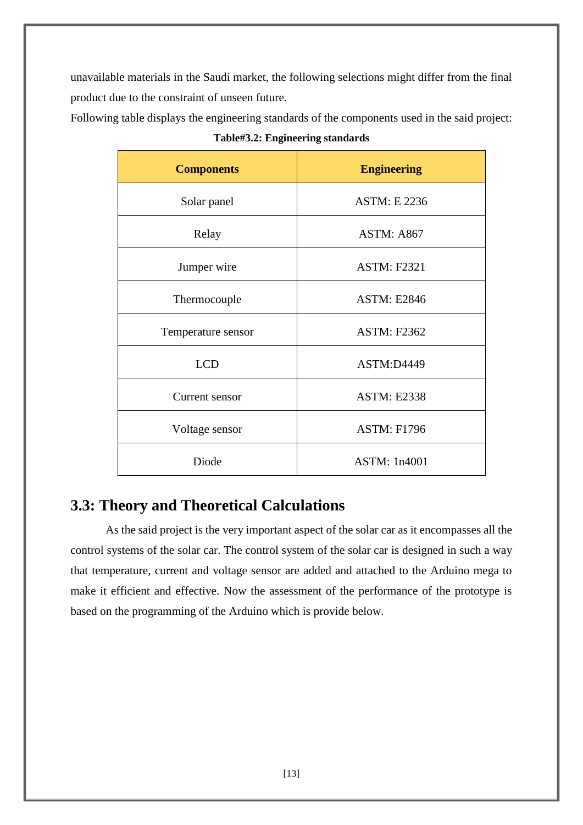unavailable materials in the Saudi market, the following selections might differ from the final product due to the constraint of unseen future.

Following table displays the engineering standards of the components used in the said project:

| Table#3.2: Engineering standards |                     |  |  |
|----------------------------------|---------------------|--|--|
| <b>Components</b>                | <b>Engineering</b>  |  |  |
| Solar panel                      | <b>ASTM: E 2236</b> |  |  |
| Relay                            | ASTM: A867          |  |  |
| Jumper wire                      | <b>ASTM: F2321</b>  |  |  |
| Thermocouple                     | <b>ASTM: E2846</b>  |  |  |
| Temperature sensor               | <b>ASTM: F2362</b>  |  |  |
| <b>LCD</b>                       | <b>ASTM:D4449</b>   |  |  |
| Current sensor                   | <b>ASTM: E2338</b>  |  |  |
| Voltage sensor                   | <b>ASTM: F1796</b>  |  |  |

## **3.3: Theory and Theoretical Calculations**

As the said project is the very important aspect of the solar car as it encompasses all the control systems of the solar car. The control system of the solar car is designed in such a way that temperature, current and voltage sensor are added and attached to the Arduino mega to make it efficient and effective. Now the assessment of the performance of the prototype is based on the programming of the Arduino which is provide below.

Diode ASTM: 1n4001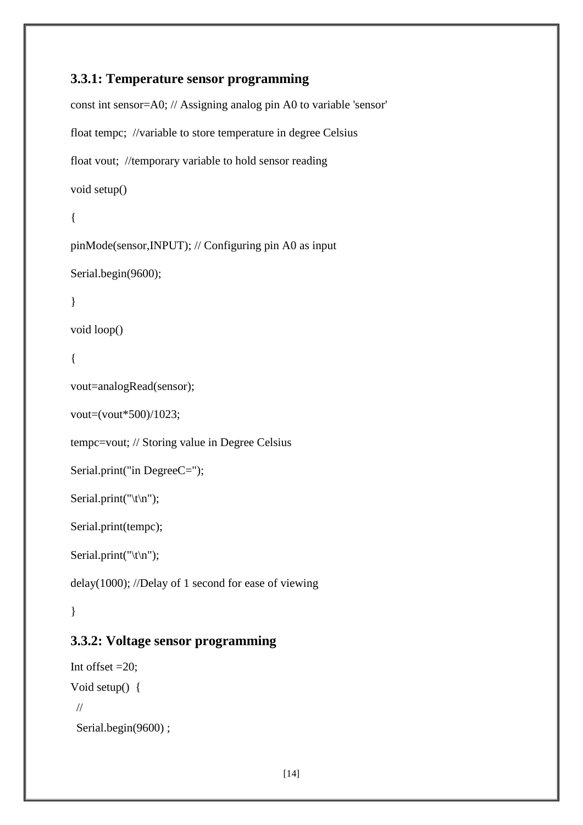## **3.3.1: Temperature sensor programming**

```
const int sensor=A0; // Assigning analog pin A0 to variable 'sensor'
float tempc; //variable to store temperature in degree Celsius
float vout; //temporary variable to hold sensor reading
void setup()
{
pinMode(sensor,INPUT); // Configuring pin A0 as input
Serial.begin(9600);
}
void loop()
{
vout=analogRead(sensor);
vout=(vout*500)/1023;
tempc=vout; // Storing value in Degree Celsius
Serial.print("in DegreeC=");
Serial.print("\t\n");
Serial.print(tempc);
Serial.print("\trth');
delay(1000); //Delay of 1 second for ease of viewing
}
```
## **3.3.2: Voltage sensor programming**

```
Int offset =20;
Void setup() {
  //
 Serial.begin(9600);
```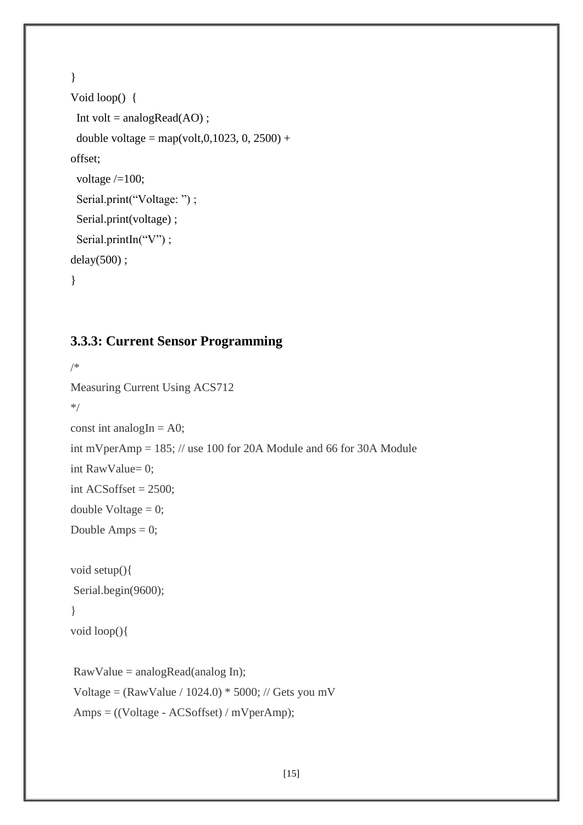```
}
Void loop() {
 Int volt = analogRead(AO);
 double voltage = map(volt,0,1023, 0, 2500) +
offset;
 voltage /=100;
 Serial.print("Voltage: ");
 Serial.print(voltage);
 Serial.printIn("V");
delay(500) ;
}
```
## **3.3.3: Current Sensor Programming**

```
/*
Measuring Current Using ACS712
*/
const int analogIn = A0;
int mVperAmp = 185; // use 100 for 20A Module and 66 for 30A Module
int RawValue= 0;
int ACSoftset = 2500;
double Voltage = 0;
Double Amps = 0;
void setup(){ 
Serial.begin(9600);
}
void loop(){
RawValue = analogRead(analog In);
Voltage = (RawValue / 1024.0) * 5000; // Gets you mV
Amps = ((Voltage - ACSoffset) / mVperAmp);
```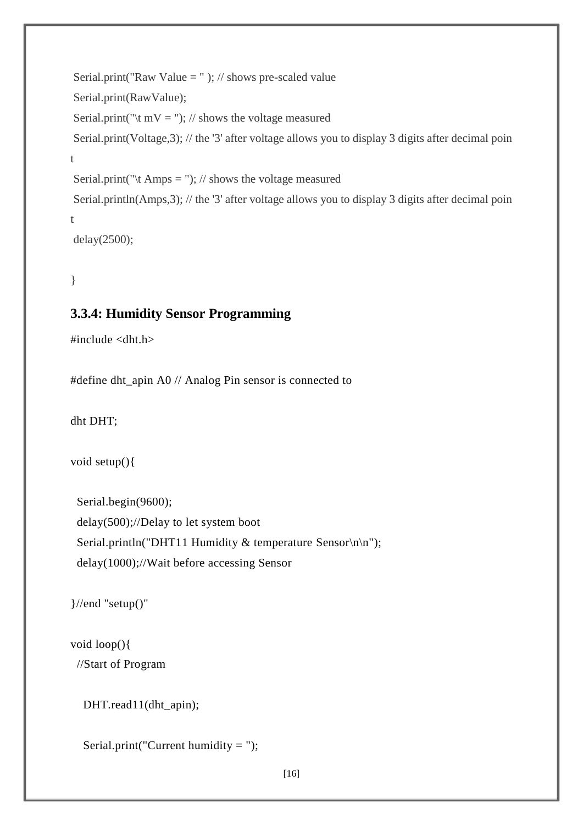```
Serial.print("Raw Value = " ); // shows pre-scaled value
Serial.print(RawValue); 
Serial.print("\t mV = "); // shows the voltage measured
Serial.print(Voltage, 3); // the '3' after voltage allows you to display 3 digits after decimal poin
t
Serial.print("\t Amps = "); // shows the voltage measured
Serial.println(Amps, 3); // the '3' after voltage allows you to display 3 digits after decimal poin
t
delay(2500);
```

```
}
```
#### **3.3.4: Humidity Sensor Programming**

```
#include <dht.h>
```
#define dht\_apin A0 // Analog Pin sensor is connected to

dht DHT;

```
void setup(){
```
 Serial.begin(9600); delay(500);//Delay to let system boot Serial.println("DHT11 Humidity & temperature Sensor\n\n"); delay(1000);//Wait before accessing Sensor

}//end "setup()"

```
void loop(){
  //Start of Program
```

```
 DHT.read11(dht_apin);
```
Serial.print("Current humidity = ");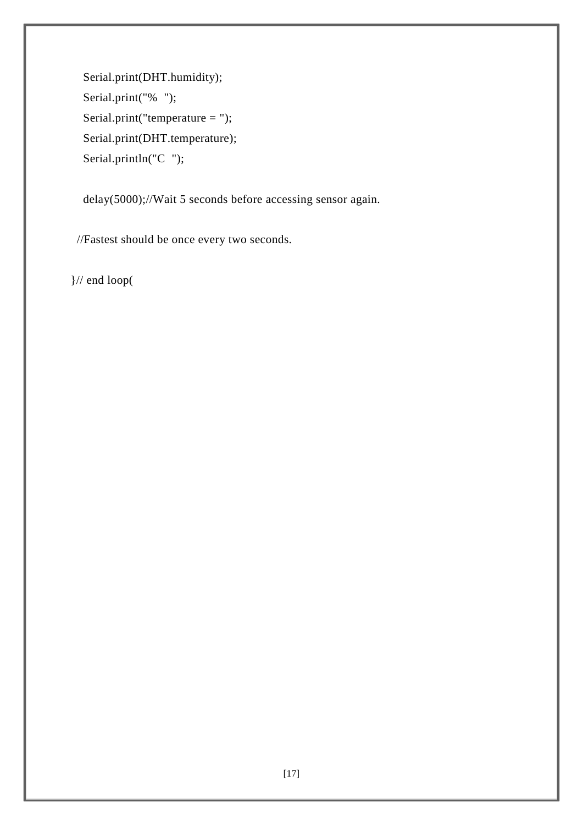Serial.print(DHT.humidity); Serial.print("% "); Serial.print("temperature = "); Serial.print(DHT.temperature); Serial.println("C ");

delay(5000);//Wait 5 seconds before accessing sensor again.

//Fastest should be once every two seconds.

}// end loop(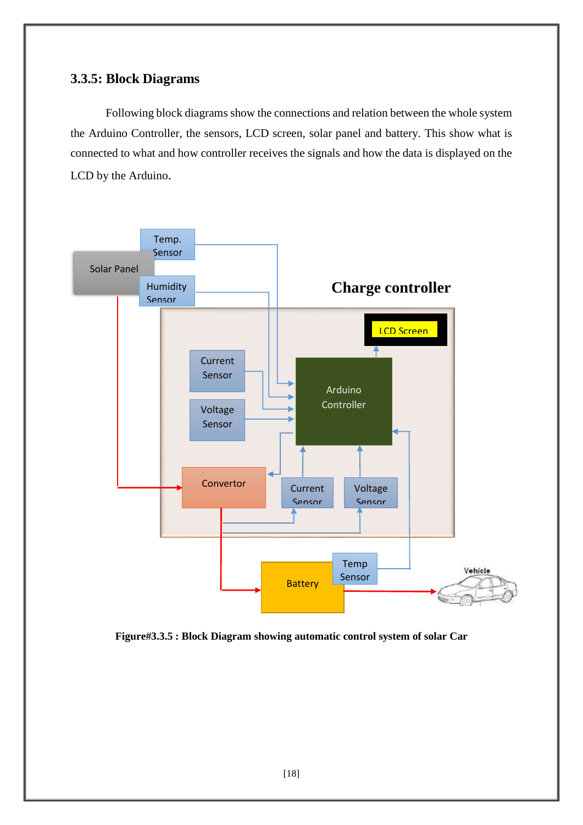#### **3.3.5: Block Diagrams**

Following block diagrams show the connections and relation between the whole system the Arduino Controller, the sensors, LCD screen, solar panel and battery. This show what is connected to what and how controller receives the signals and how the data is displayed on the LCD by the Arduino.



**Figure#3.3.5 : Block Diagram showing automatic control system of solar Car**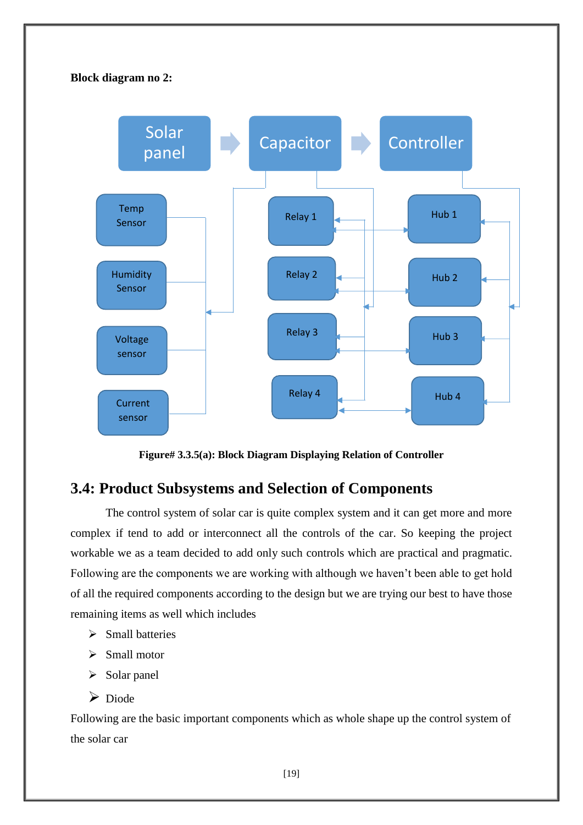#### **Block diagram no 2:**



**Figure# 3.3.5(a): Block Diagram Displaying Relation of Controller**

## **3.4: Product Subsystems and Selection of Components**

The control system of solar car is quite complex system and it can get more and more complex if tend to add or interconnect all the controls of the car. So keeping the project workable we as a team decided to add only such controls which are practical and pragmatic. Following are the components we are working with although we haven't been able to get hold of all the required components according to the design but we are trying our best to have those remaining items as well which includes

- $\triangleright$  Small batteries
- $\triangleright$  Small motor
- $\triangleright$  Solar panel
- $\triangleright$  Diode

Following are the basic important components which as whole shape up the control system of the solar car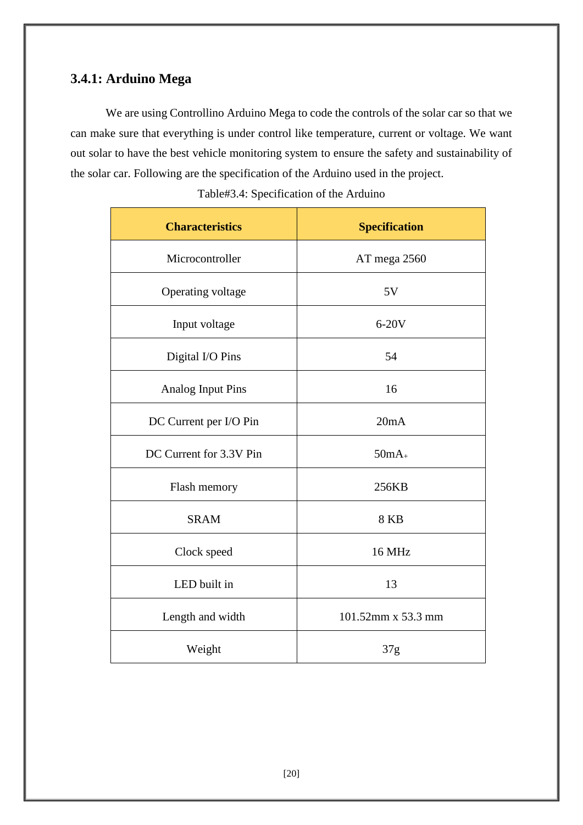## **3.4.1: Arduino Mega**

We are using Controllino Arduino Mega to code the controls of the solar car so that we can make sure that everything is under control like temperature, current or voltage. We want out solar to have the best vehicle monitoring system to ensure the safety and sustainability of the solar car. Following are the specification of the Arduino used in the project.

| <b>Characteristics</b>   | <b>Specification</b> |  |
|--------------------------|----------------------|--|
| Microcontroller          | AT mega 2560         |  |
| Operating voltage        | 5V                   |  |
| Input voltage            | $6-20V$              |  |
| Digital I/O Pins         | 54                   |  |
| <b>Analog Input Pins</b> | 16                   |  |
| DC Current per I/O Pin   | 20mA                 |  |
| DC Current for 3.3V Pin  | $50mA_{+}$           |  |
| Flash memory             | 256KB                |  |
| <b>SRAM</b>              | <b>8 KB</b>          |  |
| Clock speed              | <b>16 MHz</b>        |  |
| LED built in             | 13                   |  |
| Length and width         | 101.52mm x 53.3 mm   |  |
| Weight                   | 37g                  |  |

Table#3.4: Specification of the Arduino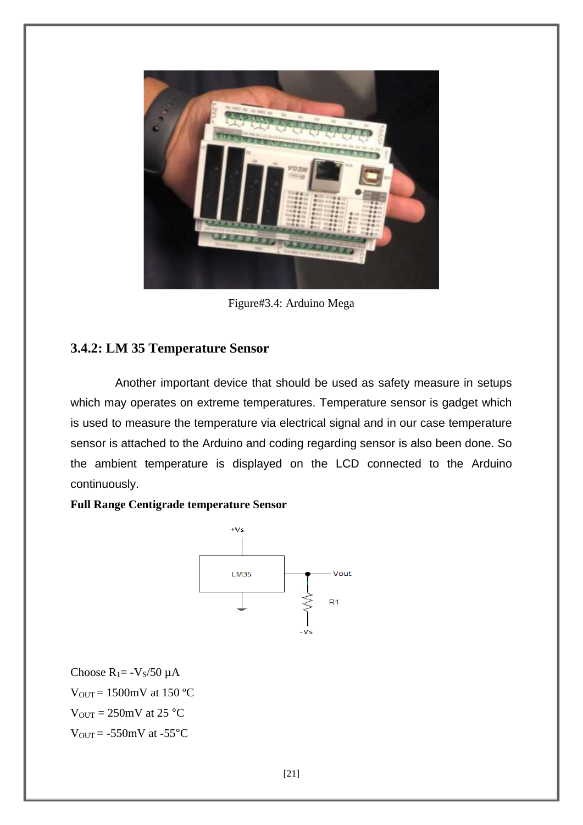

Figure#3.4: Arduino Mega

## **3.4.2: LM 35 Temperature Sensor**

Another important device that should be used as safety measure in setups which may operates on extreme temperatures. Temperature sensor is gadget which is used to measure the temperature via electrical signal and in our case temperature sensor is attached to the Arduino and coding regarding sensor is also been done. So the ambient temperature is displayed on the LCD connected to the Arduino continuously.

#### **Full Range Centigrade temperature Sensor**



Choose  $R_1 = -V_s/50 \mu A$  $V_{\text{OUT}} = 1500$ mV at 150 °C  $V_{\text{OUT}} = 250 \text{mV}$  at 25 °C  $V_{\text{OUT}} = -550 \text{mV}$  at  $-55 \text{°C}$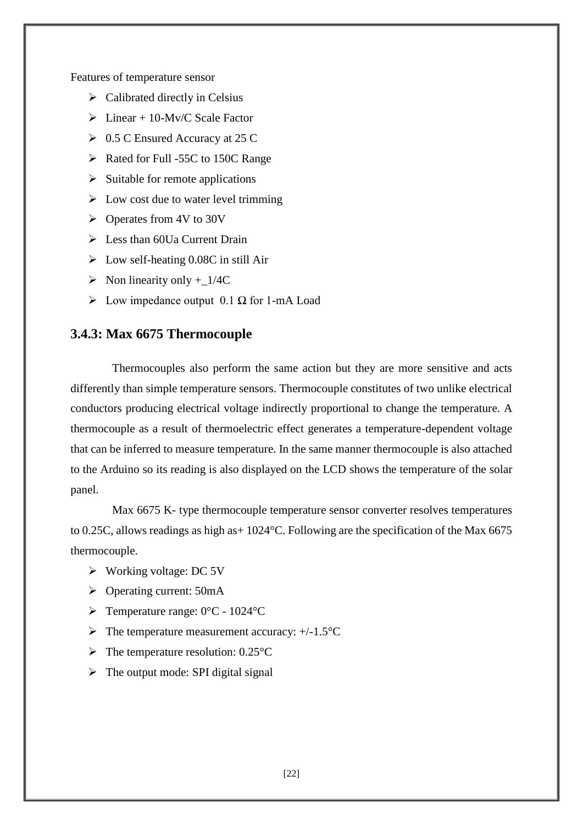Features of temperature sensor

- $\triangleright$  Calibrated directly in Celsius
- $\triangleright$  Linear + 10-My/C Scale Factor
- $\geq 0.5$  C Ensured Accuracy at 25 C
- $\triangleright$  Rated for Full -55C to 150C Range
- $\triangleright$  Suitable for remote applications
- $\triangleright$  Low cost due to water level trimming
- $\triangleright$  Operates from 4V to 30V
- $\triangleright$  Less than 60Ua Current Drain
- $\triangleright$  Low self-heating 0.08C in still Air
- $\triangleright$  Non linearity only + 1/4C
- $\triangleright$  Low impedance output 0.1  $\Omega$  for 1-mA Load

#### **3.4.3: Max 6675 Thermocouple**

Thermocouples also perform the same action but they are more sensitive and acts differently than simple temperature sensors. Thermocouple constitutes of two unlike electrical conductors producing electrical voltage indirectly proportional to change the temperature. A thermocouple as a result of thermoelectric effect generates a temperature-dependent voltage that can be inferred to measure temperature. In the same manner thermocouple is also attached to the Arduino so its reading is also displayed on the LCD shows the temperature of the solar panel.

Max 6675 K- type thermocouple temperature sensor converter resolves temperatures to 0.25C, allows readings as high as+ 1024°C. Following are the specification of the Max 6675 thermocouple.

- Working voltage: DC 5V
- $\triangleright$  Operating current: 50mA
- $\triangleright$  Temperature range: 0°C 1024°C
- $\triangleright$  The temperature measurement accuracy: +/-1.5 $\degree$ C
- $\triangleright$  The temperature resolution: 0.25 °C
- $\triangleright$  The output mode: SPI digital signal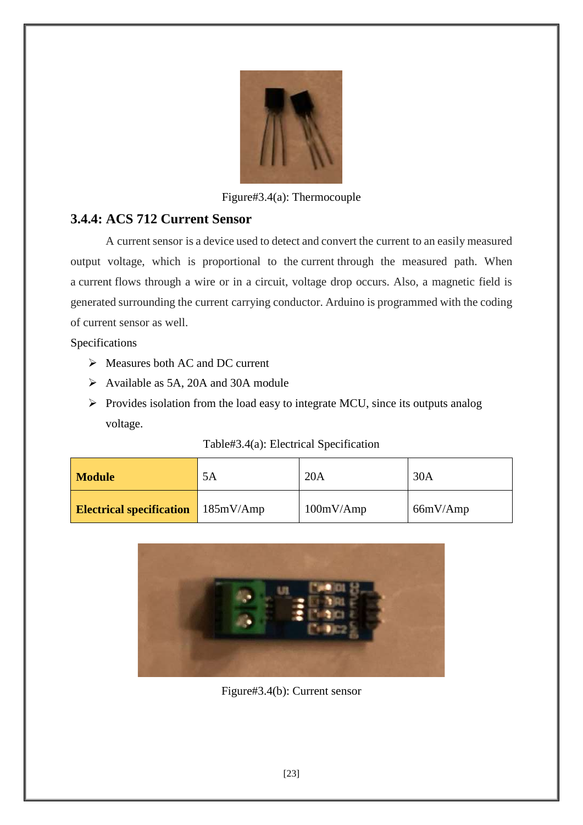

Figure#3.4(a): Thermocouple

## **3.4.4: ACS 712 Current Sensor**

A current sensor is a device used to detect and convert the current to an easily measured output voltage, which is proportional to the current through the measured path. When a current flows through a wire or in a circuit, voltage drop occurs. Also, a magnetic field is generated surrounding the current carrying conductor. Arduino is programmed with the coding of current sensor as well.

Specifications

- $\triangleright$  Measures both AC and DC current
- Available as 5A, 20A and 30A module
- $\triangleright$  Provides isolation from the load easy to integrate MCU, since its outputs analog voltage.

#### Table#3.4(a): Electrical Specification

| <b>Module</b>                   | 5A        | 20A       | 30A      |
|---------------------------------|-----------|-----------|----------|
| <b>Electrical specification</b> | 185mV/Amp | 100mV/Amp | 66mV/Amp |



Figure#3.4(b): Current sensor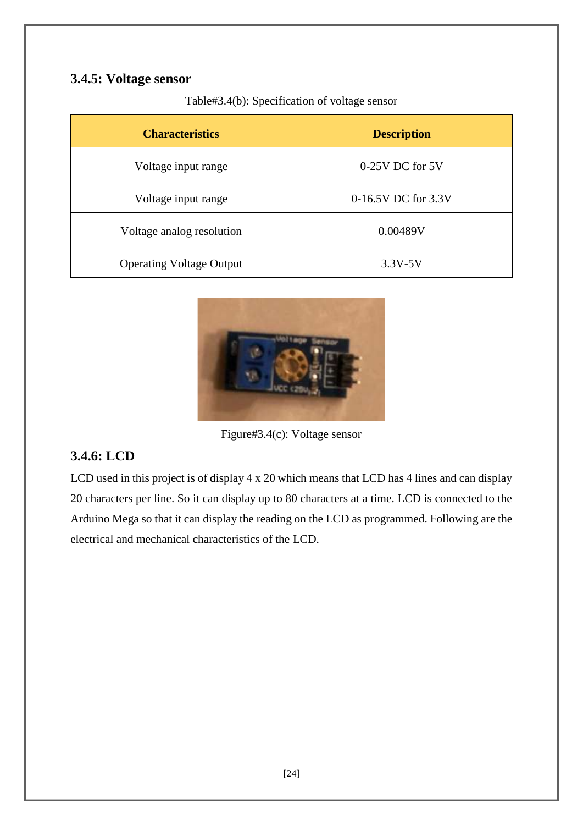## **3.4.5: Voltage sensor**

Table#3.4(b): Specification of voltage sensor

| <b>Characteristics</b>          | <b>Description</b>  |
|---------------------------------|---------------------|
| Voltage input range             | $0-25V$ DC for $5V$ |
| Voltage input range             | 0-16.5V DC for 3.3V |
| Voltage analog resolution       | 0.00489V            |
| <b>Operating Voltage Output</b> | $3.3V - 5V$         |



Figure#3.4(c): Voltage sensor

## **3.4.6: LCD**

LCD used in this project is of display 4 x 20 which means that LCD has 4 lines and can display 20 characters per line. So it can display up to 80 characters at a time. LCD is connected to the Arduino Mega so that it can display the reading on the LCD as programmed. Following are the electrical and mechanical characteristics of the LCD.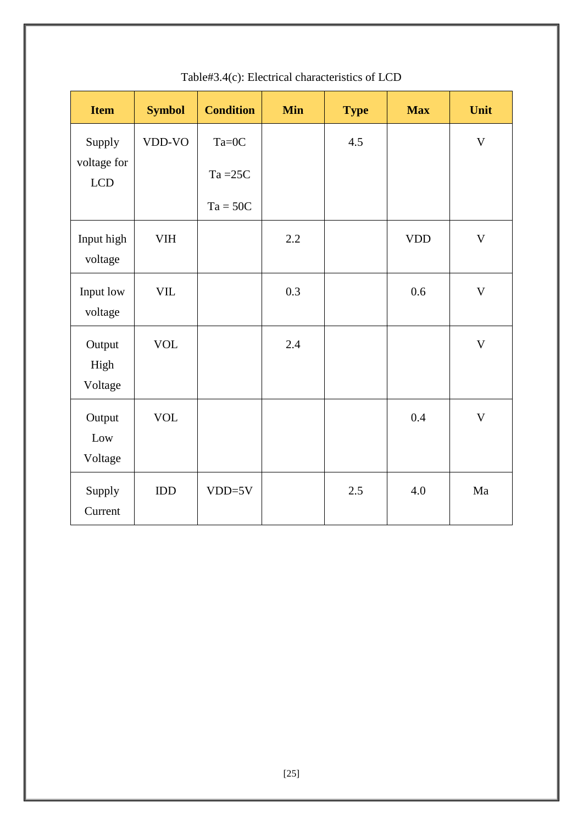| <b>Item</b>               | <b>Symbol</b> | <b>Condition</b> | <b>Min</b> | <b>Type</b> | <b>Max</b> | Unit        |
|---------------------------|---------------|------------------|------------|-------------|------------|-------------|
| Supply                    | VDD-VO        | $Ta=0C$          |            | 4.5         |            | $\mathbf V$ |
| voltage for<br><b>LCD</b> |               | $Ta = 25C$       |            |             |            |             |
|                           |               | $Ta = 50C$       |            |             |            |             |
| Input high<br>voltage     | <b>VIH</b>    |                  | 2.2        |             | <b>VDD</b> | $\mathbf V$ |
| Input low<br>voltage      | ${\rm VIL}$   |                  | 0.3        |             | 0.6        | $\mathbf V$ |
| Output<br>High<br>Voltage | <b>VOL</b>    |                  | 2.4        |             |            | $\mathbf V$ |
| Output<br>Low<br>Voltage  | <b>VOL</b>    |                  |            |             | 0.4        | $\mathbf V$ |
| Supply<br>Current         | IDD           | $VDD=5V$         |            | 2.5         | 4.0        | Ma          |

## Table#3.4(c): Electrical characteristics of LCD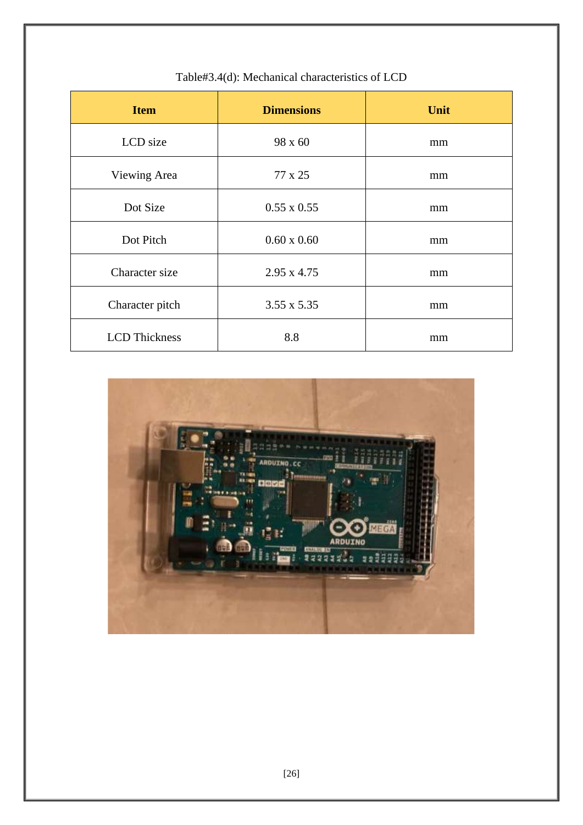| <b>Item</b>          | <b>Dimensions</b>  | Unit |
|----------------------|--------------------|------|
| LCD size             | 98 x 60            | mm   |
| Viewing Area         | 77 x 25            | mm   |
| Dot Size             | $0.55 \times 0.55$ | mm   |
| Dot Pitch            | $0.60 \times 0.60$ | mm   |
| Character size       | $2.95 \times 4.75$ | mm   |
| Character pitch      | $3.55 \times 5.35$ | mm   |
| <b>LCD</b> Thickness | 8.8                | mm   |

## Table#3.4(d): Mechanical characteristics of LCD

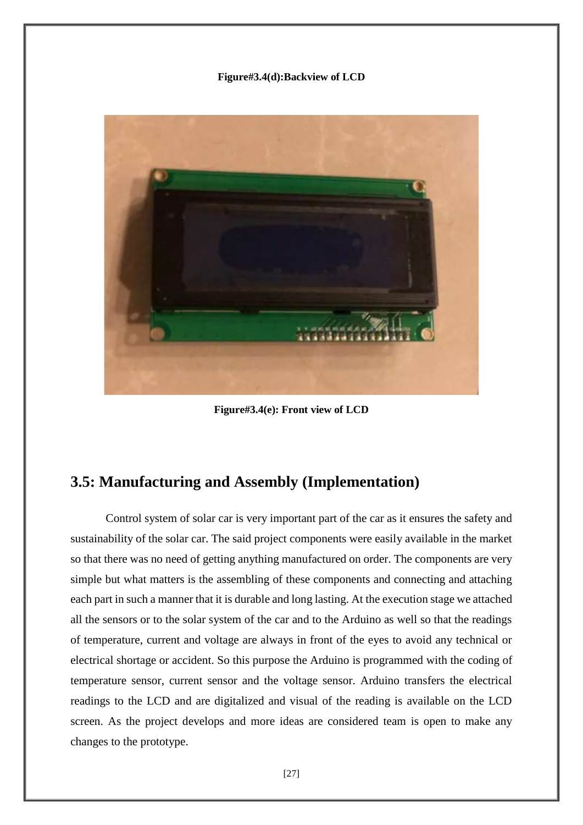#### **Figure#3.4(d):Backview of LCD**



**Figure#3.4(e): Front view of LCD**

## **3.5: Manufacturing and Assembly (Implementation)**

Control system of solar car is very important part of the car as it ensures the safety and sustainability of the solar car. The said project components were easily available in the market so that there was no need of getting anything manufactured on order. The components are very simple but what matters is the assembling of these components and connecting and attaching each part in such a manner that it is durable and long lasting. At the execution stage we attached all the sensors or to the solar system of the car and to the Arduino as well so that the readings of temperature, current and voltage are always in front of the eyes to avoid any technical or electrical shortage or accident. So this purpose the Arduino is programmed with the coding of temperature sensor, current sensor and the voltage sensor. Arduino transfers the electrical readings to the LCD and are digitalized and visual of the reading is available on the LCD screen. As the project develops and more ideas are considered team is open to make any changes to the prototype.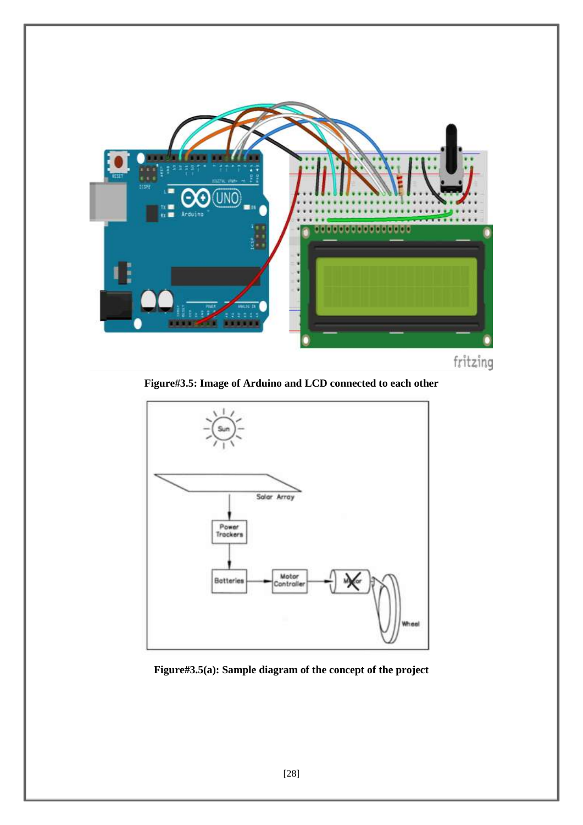

**Figure#3.5: Image of Arduino and LCD connected to each other**



**Figure#3.5(a): Sample diagram of the concept of the project**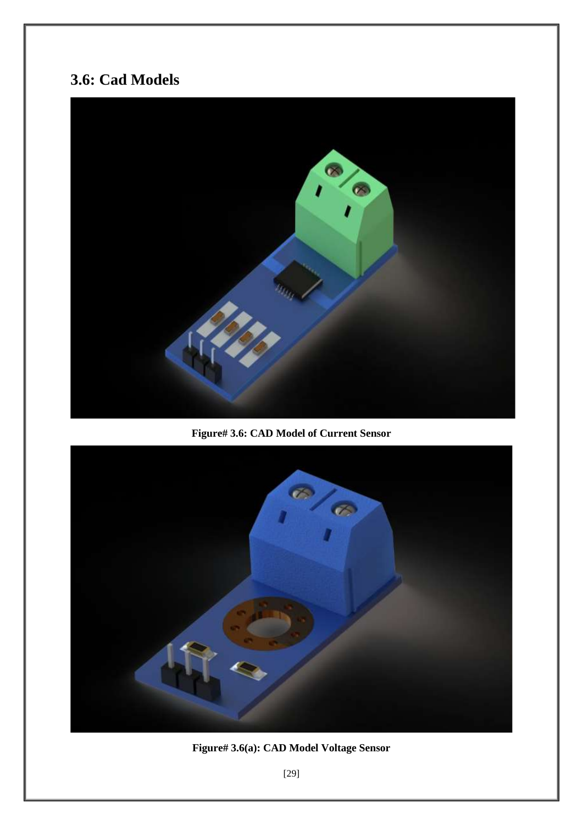# **3.6: Cad Models**



**Figure# 3.6: CAD Model of Current Sensor** 



**Figure# 3.6(a): CAD Model Voltage Sensor**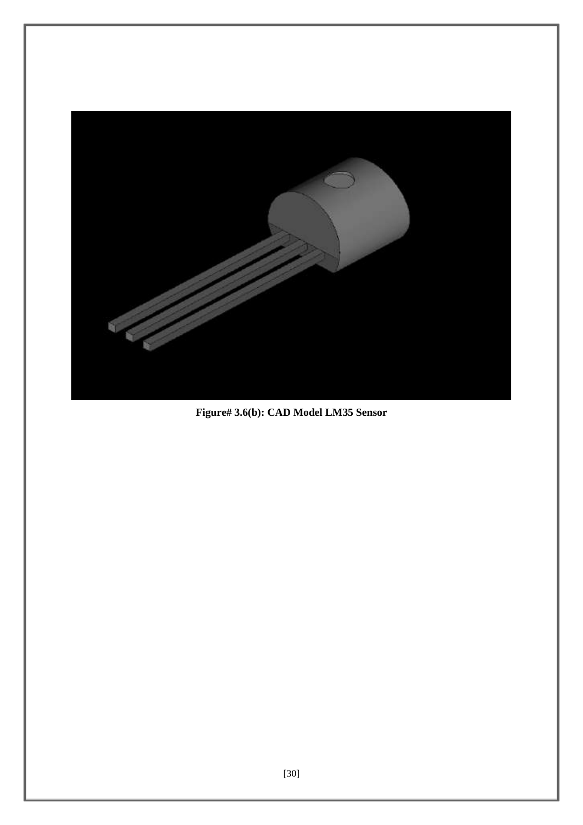

**Figure# 3.6(b): CAD Model LM35 Sensor**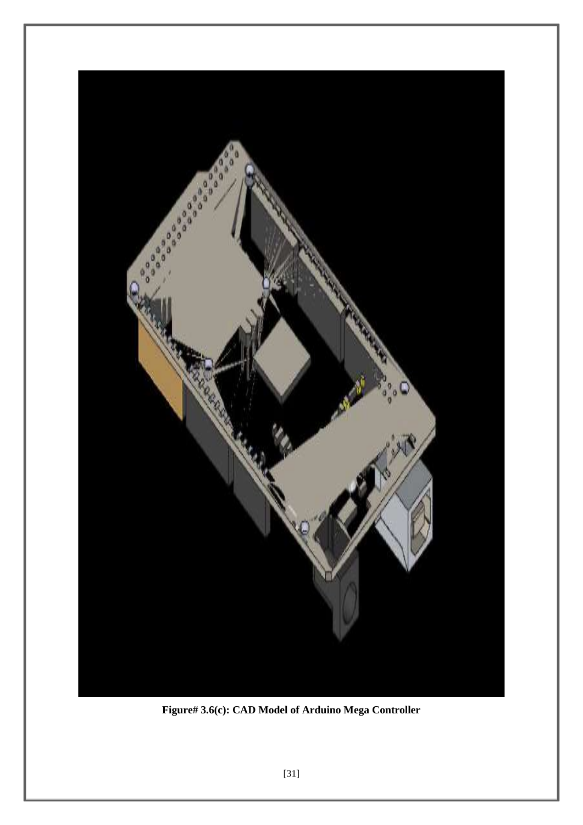

**Figure# 3.6(c): CAD Model of Arduino Mega Controller**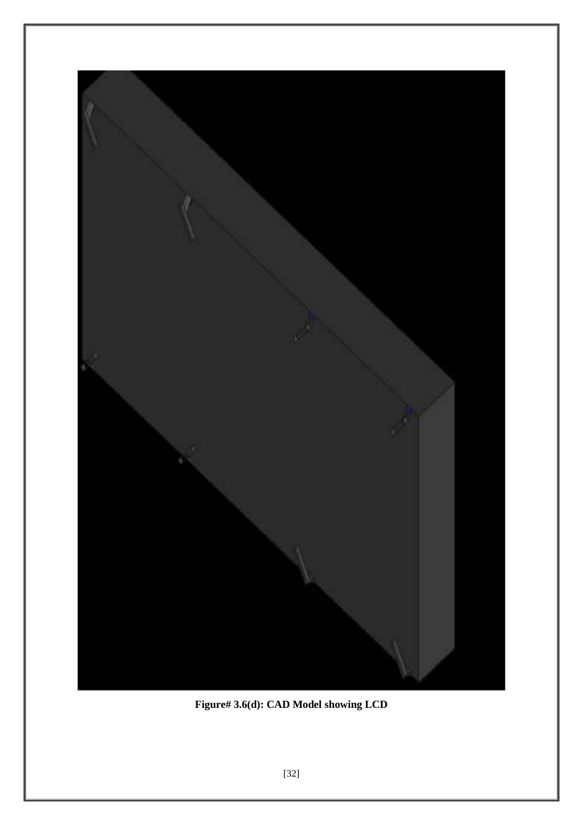

**Figure# 3.6(d): CAD Model showing LCD**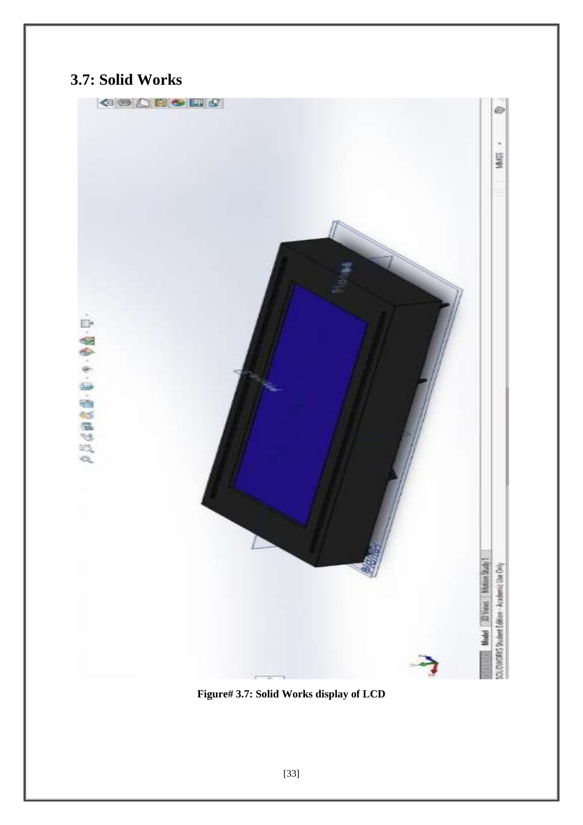# **3.7: Solid Works**

**GOOSSES** 

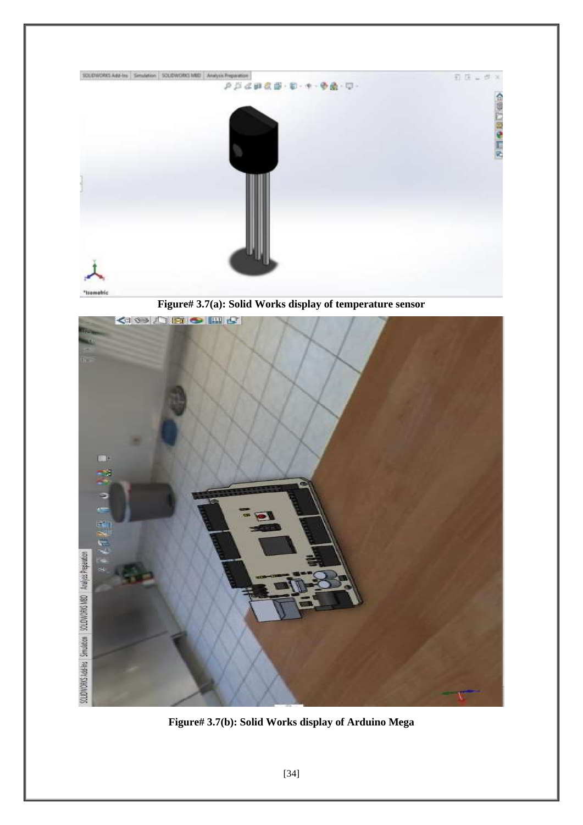

**Figure# 3.7(a): Solid Works display of temperature sensor** 



**Figure# 3.7(b): Solid Works display of Arduino Mega**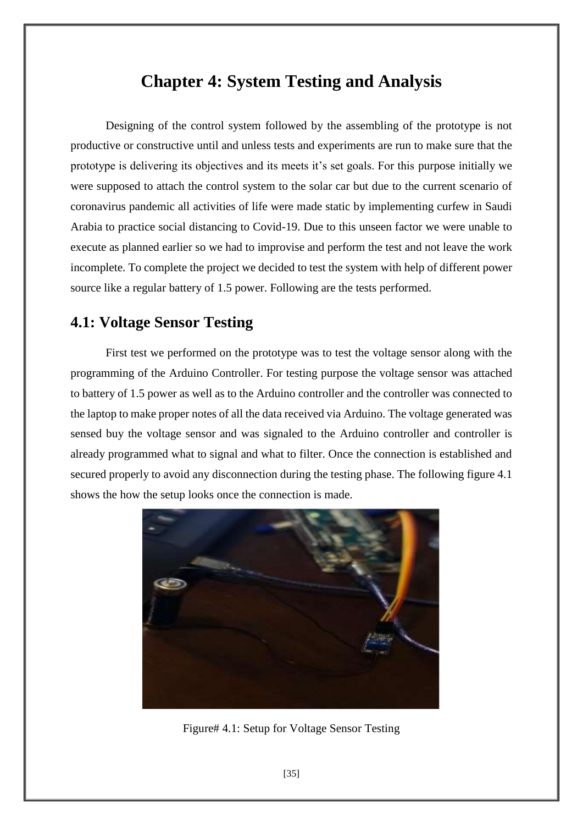# **Chapter 4: System Testing and Analysis**

Designing of the control system followed by the assembling of the prototype is not productive or constructive until and unless tests and experiments are run to make sure that the prototype is delivering its objectives and its meets it's set goals. For this purpose initially we were supposed to attach the control system to the solar car but due to the current scenario of coronavirus pandemic all activities of life were made static by implementing curfew in Saudi Arabia to practice social distancing to Covid-19. Due to this unseen factor we were unable to execute as planned earlier so we had to improvise and perform the test and not leave the work incomplete. To complete the project we decided to test the system with help of different power source like a regular battery of 1.5 power. Following are the tests performed.

## **4.1: Voltage Sensor Testing**

First test we performed on the prototype was to test the voltage sensor along with the programming of the Arduino Controller. For testing purpose the voltage sensor was attached to battery of 1.5 power as well as to the Arduino controller and the controller was connected to the laptop to make proper notes of all the data received via Arduino. The voltage generated was sensed buy the voltage sensor and was signaled to the Arduino controller and controller is already programmed what to signal and what to filter. Once the connection is established and secured properly to avoid any disconnection during the testing phase. The following figure 4.1 shows the how the setup looks once the connection is made.



Figure# 4.1: Setup for Voltage Sensor Testing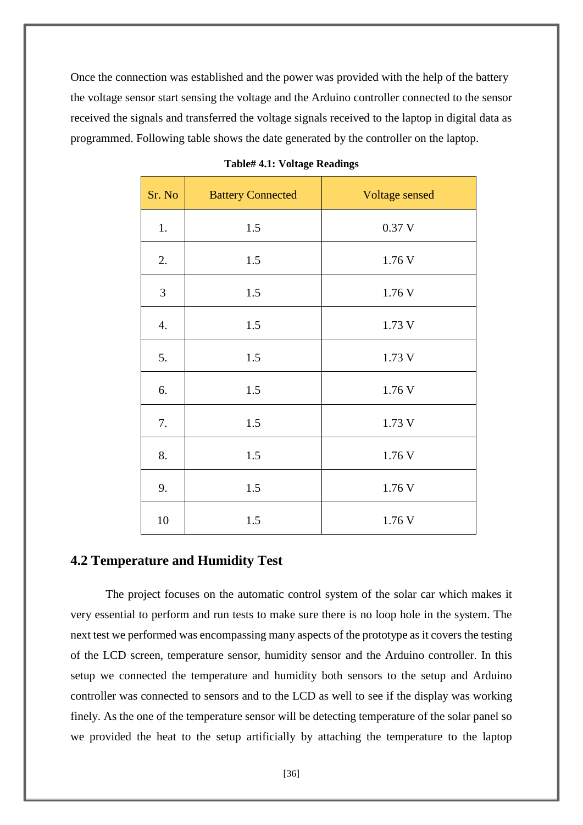Once the connection was established and the power was provided with the help of the battery the voltage sensor start sensing the voltage and the Arduino controller connected to the sensor received the signals and transferred the voltage signals received to the laptop in digital data as programmed. Following table shows the date generated by the controller on the laptop.

| Sr. No           | <b>Battery Connected</b> | Voltage sensed |
|------------------|--------------------------|----------------|
| 1.               | 1.5                      | 0.37V          |
| 2.               | 1.5                      | 1.76 V         |
| $\mathfrak{Z}$   | 1.5                      | 1.76 V         |
| $\overline{4}$ . | 1.5                      | 1.73 V         |
| 5.               | 1.5                      | 1.73 V         |
| 6.               | 1.5                      | 1.76 V         |
| 7.               | 1.5                      | 1.73 V         |
| 8.               | 1.5                      | 1.76 V         |
| 9.               | 1.5                      | 1.76 V         |
| 10               | 1.5                      | 1.76 V         |

#### **Table# 4.1: Voltage Readings**

#### **4.2 Temperature and Humidity Test**

The project focuses on the automatic control system of the solar car which makes it very essential to perform and run tests to make sure there is no loop hole in the system. The next test we performed was encompassing many aspects of the prototype as it covers the testing of the LCD screen, temperature sensor, humidity sensor and the Arduino controller. In this setup we connected the temperature and humidity both sensors to the setup and Arduino controller was connected to sensors and to the LCD as well to see if the display was working finely. As the one of the temperature sensor will be detecting temperature of the solar panel so we provided the heat to the setup artificially by attaching the temperature to the laptop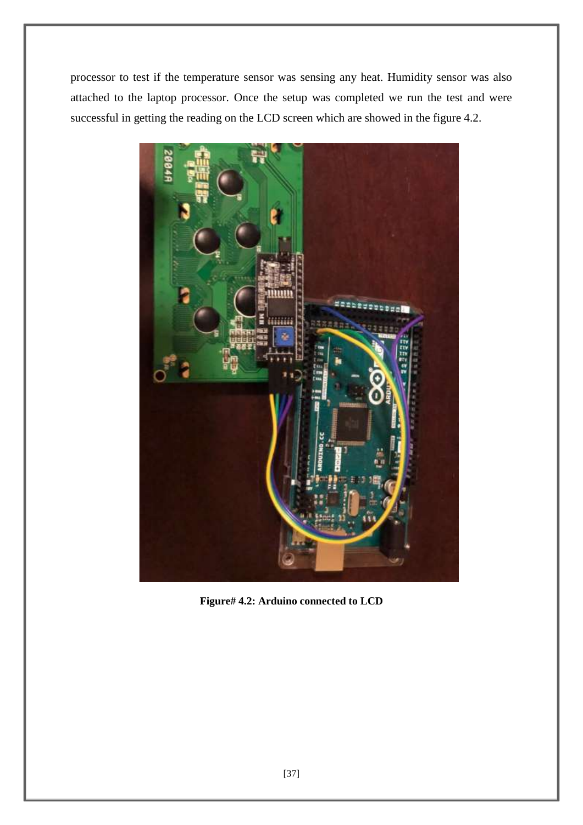processor to test if the temperature sensor was sensing any heat. Humidity sensor was also attached to the laptop processor. Once the setup was completed we run the test and were successful in getting the reading on the LCD screen which are showed in the figure 4.2.



**Figure# 4.2: Arduino connected to LCD**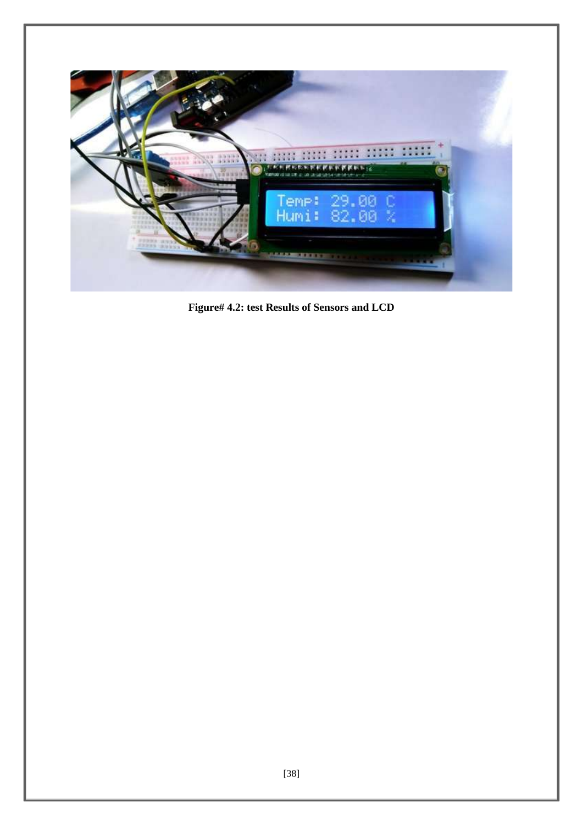

**Figure# 4.2: test Results of Sensors and LCD**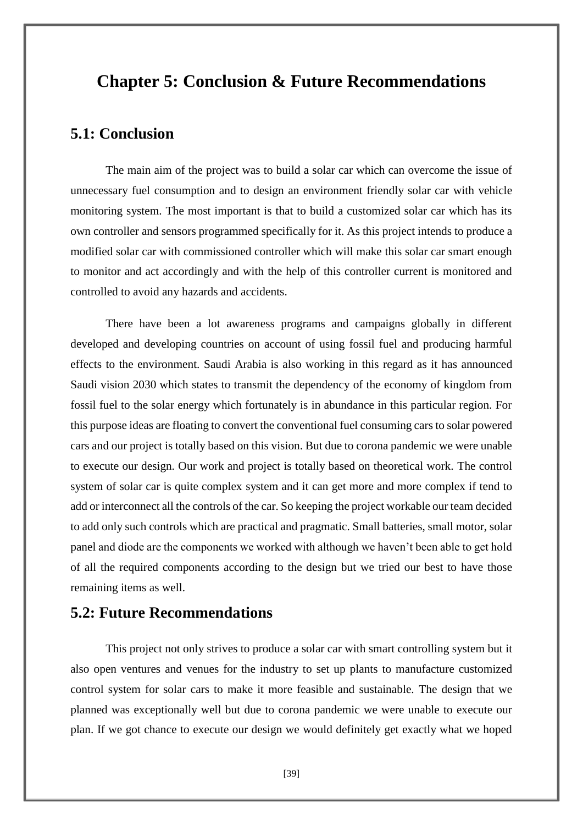## **Chapter 5: Conclusion & Future Recommendations**

#### **5.1: Conclusion**

The main aim of the project was to build a solar car which can overcome the issue of unnecessary fuel consumption and to design an environment friendly solar car with vehicle monitoring system. The most important is that to build a customized solar car which has its own controller and sensors programmed specifically for it. As this project intends to produce a modified solar car with commissioned controller which will make this solar car smart enough to monitor and act accordingly and with the help of this controller current is monitored and controlled to avoid any hazards and accidents.

There have been a lot awareness programs and campaigns globally in different developed and developing countries on account of using fossil fuel and producing harmful effects to the environment. Saudi Arabia is also working in this regard as it has announced Saudi vision 2030 which states to transmit the dependency of the economy of kingdom from fossil fuel to the solar energy which fortunately is in abundance in this particular region. For this purpose ideas are floating to convert the conventional fuel consuming cars to solar powered cars and our project is totally based on this vision. But due to corona pandemic we were unable to execute our design. Our work and project is totally based on theoretical work. The control system of solar car is quite complex system and it can get more and more complex if tend to add or interconnect all the controls of the car. So keeping the project workable our team decided to add only such controls which are practical and pragmatic. Small batteries, small motor, solar panel and diode are the components we worked with although we haven't been able to get hold of all the required components according to the design but we tried our best to have those remaining items as well.

#### **5.2: Future Recommendations**

This project not only strives to produce a solar car with smart controlling system but it also open ventures and venues for the industry to set up plants to manufacture customized control system for solar cars to make it more feasible and sustainable. The design that we planned was exceptionally well but due to corona pandemic we were unable to execute our plan. If we got chance to execute our design we would definitely get exactly what we hoped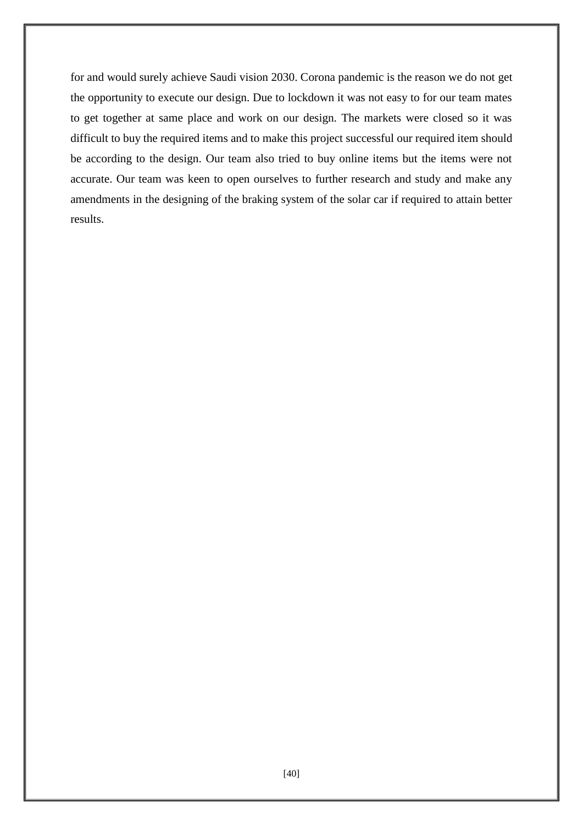for and would surely achieve Saudi vision 2030. Corona pandemic is the reason we do not get the opportunity to execute our design. Due to lockdown it was not easy to for our team mates to get together at same place and work on our design. The markets were closed so it was difficult to buy the required items and to make this project successful our required item should be according to the design. Our team also tried to buy online items but the items were not accurate. Our team was keen to open ourselves to further research and study and make any amendments in the designing of the braking system of the solar car if required to attain better results.